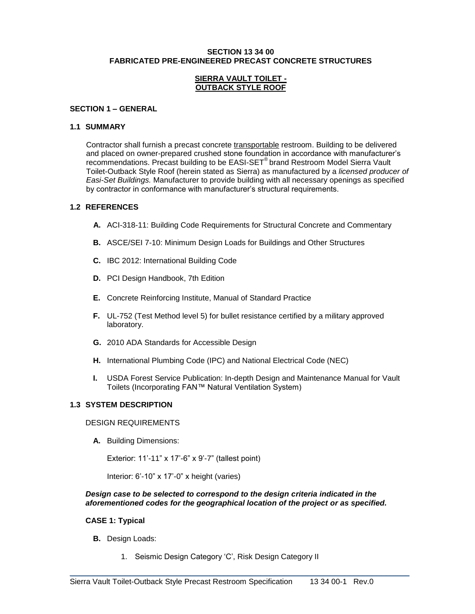#### **SECTION 13 34 00 FABRICATED PRE-ENGINEERED PRECAST CONCRETE STRUCTURES**

#### **SIERRA VAULT TOILET - OUTBACK STYLE ROOF**

#### **SECTION 1 – GENERAL**

#### **1.1 SUMMARY**

Contractor shall furnish a precast concrete transportable restroom. Building to be delivered and placed on owner-prepared crushed stone foundation in accordance with manufacturer's recommendations. Precast building to be EASI-SET® brand Restroom Model Sierra Vault Toilet-Outback Style Roof (herein stated as Sierra) as manufactured by a *licensed producer of Easi-Set Buildings.* Manufacturer to provide building with all necessary openings as specified by contractor in conformance with manufacturer's structural requirements.

### **1.2 REFERENCES**

- **A.** ACI-318-11: Building Code Requirements for Structural Concrete and Commentary
- **B.** ASCE/SEI 7-10: Minimum Design Loads for Buildings and Other Structures
- **C.** IBC 2012: International Building Code
- **D.** PCI Design Handbook, 7th Edition
- **E.** Concrete Reinforcing Institute, Manual of Standard Practice
- **F.** UL-752 (Test Method level 5) for bullet resistance certified by a military approved laboratory.
- **G.** 2010 ADA Standards for Accessible Design
- **H.** International Plumbing Code (IPC) and National Electrical Code (NEC)
- **I.** USDA Forest Service Publication: In-depth Design and Maintenance Manual for Vault Toilets (Incorporating FAN™ Natural Ventilation System)

### **1.3 SYSTEM DESCRIPTION**

### DESIGN REQUIREMENTS

**A.** Building Dimensions:

Exterior: 11'-11" x 17'-6" x 9'-7" (tallest point)

Interior: 6'-10" x 17'-0" x height (varies)

#### *Design case to be selected to correspond to the design criteria indicated in the aforementioned codes for the geographical location of the project or as specified.*

\_\_\_\_\_\_\_\_\_\_\_\_\_\_\_\_\_\_\_\_\_\_\_\_\_\_\_\_\_\_\_\_\_\_\_\_\_\_\_\_\_\_\_\_\_\_\_\_\_\_\_\_\_\_\_\_\_\_\_\_\_\_\_\_\_\_\_\_\_\_\_\_\_

# **CASE 1: Typical**

- **B.** Design Loads:
	- 1. Seismic Design Category 'C', Risk Design Category II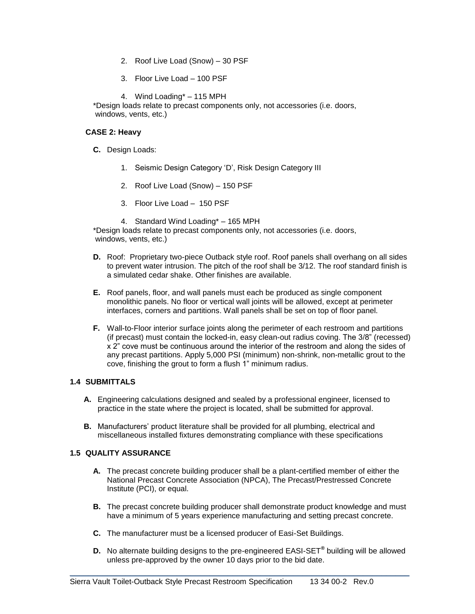- 2. Roof Live Load (Snow) 30 PSF
- 3. Floor Live Load 100 PSF
- 4. Wind Loading\* 115 MPH

\*Design loads relate to precast components only, not accessories (i.e. doors, windows, vents, etc.)

## **CASE 2: Heavy**

- **C.** Design Loads:
	- 1. Seismic Design Category 'D', Risk Design Category III
	- 2. Roof Live Load (Snow) 150 PSF
	- 3. Floor Live Load 150 PSF
	- 4. Standard Wind Loading\* 165 MPH

\*Design loads relate to precast components only, not accessories (i.e. doors, windows, vents, etc.)

- **D.** Roof: Proprietary two-piece Outback style roof. Roof panels shall overhang on all sides to prevent water intrusion. The pitch of the roof shall be 3/12. The roof standard finish is a simulated cedar shake. Other finishes are available.
- **E.** Roof panels, floor, and wall panels must each be produced as single component monolithic panels. No floor or vertical wall joints will be allowed, except at perimeter interfaces, corners and partitions. Wall panels shall be set on top of floor panel.
- **F.** Wall-to-Floor interior surface joints along the perimeter of each restroom and partitions (if precast) must contain the locked-in, easy clean-out radius coving. The 3/8" (recessed) x 2" cove must be continuous around the interior of the restroom and along the sides of any precast partitions. Apply 5,000 PSI (minimum) non-shrink, non-metallic grout to the cove, finishing the grout to form a flush 1" minimum radius.

# **1.4 SUBMITTALS**

- **A.** Engineering calculations designed and sealed by a professional engineer, licensed to practice in the state where the project is located, shall be submitted for approval.
- **B.** Manufacturers' product literature shall be provided for all plumbing, electrical and miscellaneous installed fixtures demonstrating compliance with these specifications

# **1.5 QUALITY ASSURANCE**

- **A.** The precast concrete building producer shall be a plant-certified member of either the National Precast Concrete Association (NPCA), The Precast/Prestressed Concrete Institute (PCI), or equal.
- **B.** The precast concrete building producer shall demonstrate product knowledge and must have a minimum of 5 years experience manufacturing and setting precast concrete.
- **C.** The manufacturer must be a licensed producer of Easi-Set Buildings.
- **D.** No alternate building designs to the pre-engineered EASI-SET**®** building will be allowed unless pre-approved by the owner 10 days prior to the bid date.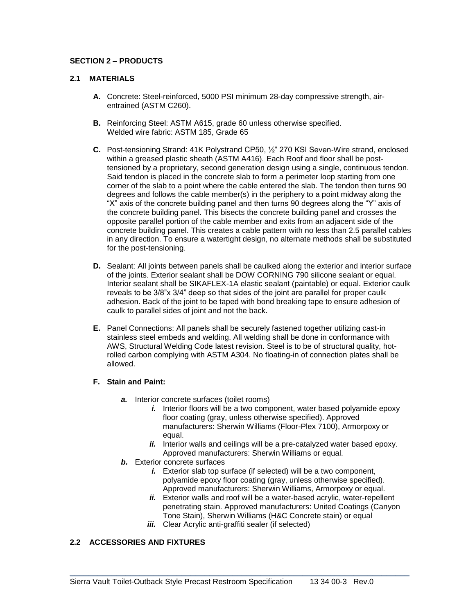# **SECTION 2 – PRODUCTS**

## **2.1 MATERIALS**

- **A.** Concrete: Steel-reinforced, 5000 PSI minimum 28-day compressive strength, airentrained (ASTM C260).
- **B.** Reinforcing Steel: ASTM A615, grade 60 unless otherwise specified. Welded wire fabric: ASTM 185, Grade 65
- **C.** Post-tensioning Strand: 41K Polystrand CP50, ½" 270 KSI Seven-Wire strand, enclosed within a greased plastic sheath (ASTM A416). Each Roof and floor shall be posttensioned by a proprietary, second generation design using a single, continuous tendon. Said tendon is placed in the concrete slab to form a perimeter loop starting from one corner of the slab to a point where the cable entered the slab. The tendon then turns 90 degrees and follows the cable member(s) in the periphery to a point midway along the "X" axis of the concrete building panel and then turns 90 degrees along the "Y" axis of the concrete building panel. This bisects the concrete building panel and crosses the opposite parallel portion of the cable member and exits from an adjacent side of the concrete building panel. This creates a cable pattern with no less than 2.5 parallel cables in any direction. To ensure a watertight design, no alternate methods shall be substituted for the post-tensioning.
- **D.** Sealant: All joints between panels shall be caulked along the exterior and interior surface of the joints. Exterior sealant shall be DOW CORNING 790 silicone sealant or equal. Interior sealant shall be SIKAFLEX-1A elastic sealant (paintable) or equal. Exterior caulk reveals to be 3/8"x 3/4" deep so that sides of the joint are parallel for proper caulk adhesion. Back of the joint to be taped with bond breaking tape to ensure adhesion of caulk to parallel sides of joint and not the back.
- **E.** Panel Connections: All panels shall be securely fastened together utilizing cast-in stainless steel embeds and welding. All welding shall be done in conformance with AWS, Structural Welding Code latest revision. Steel is to be of structural quality, hotrolled carbon complying with ASTM A304. No floating-in of connection plates shall be allowed.

#### **F. Stain and Paint:**

- *a.* Interior concrete surfaces (toilet rooms)
	- *i.* Interior floors will be a two component, water based polyamide epoxy floor coating (gray, unless otherwise specified). Approved manufacturers: Sherwin Williams (Floor-Plex 7100), Armorpoxy or equal.
	- *ii.* Interior walls and ceilings will be a pre-catalyzed water based epoxy. Approved manufacturers: Sherwin Williams or equal.
- *b.* Exterior concrete surfaces
	- *i.* Exterior slab top surface (if selected) will be a two component, polyamide epoxy floor coating (gray, unless otherwise specified). Approved manufacturers: Sherwin Williams, Armorpoxy or equal.
	- *ii.* Exterior walls and roof will be a water-based acrylic, water-repellent penetrating stain. Approved manufacturers: United Coatings (Canyon Tone Stain), Sherwin Williams (H&C Concrete stain) or equal
	- *iii.* Clear Acrylic anti-graffiti sealer (if selected)

# **2.2 ACCESSORIES AND FIXTURES**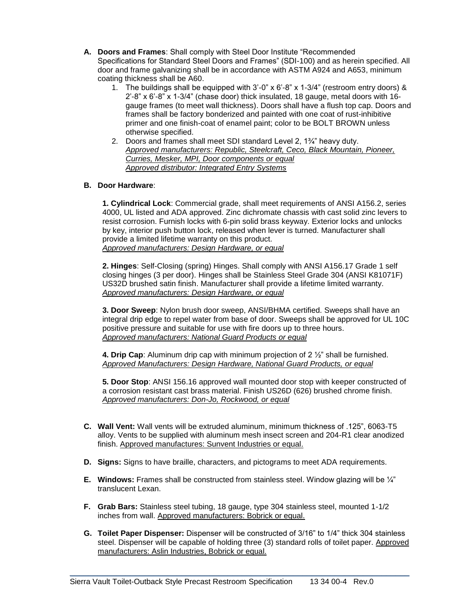- **A. Doors and Frames**: Shall comply with Steel Door Institute "Recommended Specifications for Standard Steel Doors and Frames" (SDI-100) and as herein specified. All door and frame galvanizing shall be in accordance with ASTM A924 and A653, minimum coating thickness shall be A60.
	- 1. The buildings shall be equipped with  $3^{\prime}$ -0" x  $6^{\prime}$ -8" x 1-3/4" (restroom entry doors) & 2'-8" x 6'-8" x 1-3/4" (chase door) thick insulated, 18 gauge, metal doors with 16 gauge frames (to meet wall thickness). Doors shall have a flush top cap. Doors and frames shall be factory bonderized and painted with one coat of rust-inhibitive primer and one finish-coat of enamel paint; color to be BOLT BROWN unless otherwise specified.
	- 2. Doors and frames shall meet SDI standard Level 2, 1¾" heavy duty. *Approved manufacturers: Republic, Steelcraft, Ceco, Black Mountain, Pioneer, Curries, Mesker, MPI, Door components or equal Approved distributor: Integrated Entry Systems*

# **B. Door Hardware**:

**1. Cylindrical Lock**: Commercial grade, shall meet requirements of ANSI A156.2, series 4000, UL listed and ADA approved. Zinc dichromate chassis with cast solid zinc levers to resist corrosion. Furnish locks with 6-pin solid brass keyway. Exterior locks and unlocks by key, interior push button lock, released when lever is turned. Manufacturer shall provide a limited lifetime warranty on this product. *Approved manufacturers: Design Hardware, or equal*

**2. Hinges**: Self-Closing (spring) Hinges. Shall comply with ANSI A156.17 Grade 1 self closing hinges (3 per door). Hinges shall be Stainless Steel Grade 304 (ANSI K81071F) US32D brushed satin finish. Manufacturer shall provide a lifetime limited warranty. *Approved manufacturers: Design Hardware, or equal*

**3. Door Sweep**: Nylon brush door sweep, ANSI/BHMA certified. Sweeps shall have an integral drip edge to repel water from base of door. Sweeps shall be approved for UL 10C positive pressure and suitable for use with fire doors up to three hours. *Approved manufacturers: National Guard Products or equal*

**4. Drip Cap**: Aluminum drip cap with minimum projection of 2 ½" shall be furnished. *Approved Manufacturers: Design Hardware, National Guard Products, or equal*

**5. Door Stop**: ANSI 156.16 approved wall mounted door stop with keeper constructed of a corrosion resistant cast brass material. Finish US26D (626) brushed chrome finish. *Approved manufacturers: Don-Jo, Rockwood, or equal*

- **C. Wall Vent:** Wall vents will be extruded aluminum, minimum thickness of .125", 6063-T5 alloy. Vents to be supplied with aluminum mesh insect screen and 204-R1 clear anodized finish. Approved manufactures: Sunvent Industries or equal.
- **D. Signs:** Signs to have braille, characters, and pictograms to meet ADA requirements.
- **E. Windows:** Frames shall be constructed from stainless steel. Window glazing will be ¼" translucent Lexan.
- **F. Grab Bars:** Stainless steel tubing, 18 gauge, type 304 stainless steel, mounted 1-1/2 inches from wall. Approved manufacturers: Bobrick or equal.
- **G. Toilet Paper Dispenser:** Dispenser will be constructed of 3/16" to 1/4" thick 304 stainless steel. Dispenser will be capable of holding three (3) standard rolls of toilet paper. Approved manufacturers: Aslin Industries, Bobrick or equal.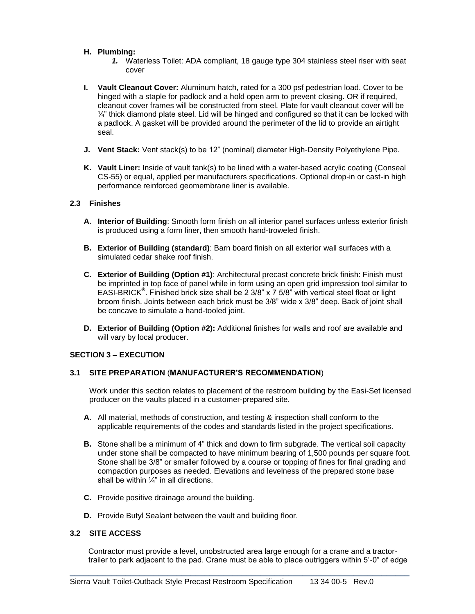### **H. Plumbing:**

- *1.* Waterless Toilet: ADA compliant, 18 gauge type 304 stainless steel riser with seat cover
- **I. Vault Cleanout Cover:** Aluminum hatch, rated for a 300 psf pedestrian load. Cover to be hinged with a staple for padlock and a hold open arm to prevent closing. OR if required, cleanout cover frames will be constructed from steel. Plate for vault cleanout cover will be  $\frac{1}{4}$ " thick diamond plate steel. Lid will be hinged and configured so that it can be locked with a padlock. A gasket will be provided around the perimeter of the lid to provide an airtight seal.
- **J. Vent Stack:** Vent stack(s) to be 12" (nominal) diameter High-Density Polyethylene Pipe.
- **K. Vault Liner:** Inside of vault tank(s) to be lined with a water-based acrylic coating (Conseal CS-55) or equal, applied per manufacturers specifications. Optional drop-in or cast-in high performance reinforced geomembrane liner is available.

### **2.3 Finishes**

- **A. Interior of Building**: Smooth form finish on all interior panel surfaces unless exterior finish is produced using a form liner, then smooth hand-troweled finish.
- **B. Exterior of Building (standard)**: Barn board finish on all exterior wall surfaces with a simulated cedar shake roof finish.
- **C. Exterior of Building (Option #1)**: Architectural precast concrete brick finish: Finish must be imprinted in top face of panel while in form using an open grid impression tool similar to EASI-BRICK**®** . Finished brick size shall be 2 3/8" x 7 5/8" with vertical steel float or light broom finish. Joints between each brick must be 3/8" wide x 3/8" deep. Back of joint shall be concave to simulate a hand-tooled joint.
- **D. Exterior of Building (Option #2):** Additional finishes for walls and roof are available and will vary by local producer.

### **SECTION 3 – EXECUTION**

# **3.1 SITE PREPARATION** (**MANUFACTURER'S RECOMMENDATION**)

Work under this section relates to placement of the restroom building by the Easi-Set licensed producer on the vaults placed in a customer-prepared site.

- **A.** All material, methods of construction, and testing & inspection shall conform to the applicable requirements of the codes and standards listed in the project specifications.
- **B.** Stone shall be a minimum of 4" thick and down to firm subgrade. The vertical soil capacity under stone shall be compacted to have minimum bearing of 1,500 pounds per square foot. Stone shall be 3/8" or smaller followed by a course or topping of fines for final grading and compaction purposes as needed. Elevations and levelness of the prepared stone base shall be within  $\frac{1}{4}$ " in all directions.
- **C.** Provide positive drainage around the building.
- **D.** Provide Butyl Sealant between the vault and building floor.

# **3.2 SITE ACCESS**

Contractor must provide a level, unobstructed area large enough for a crane and a tractortrailer to park adjacent to the pad. Crane must be able to place outriggers within 5'-0" of edge